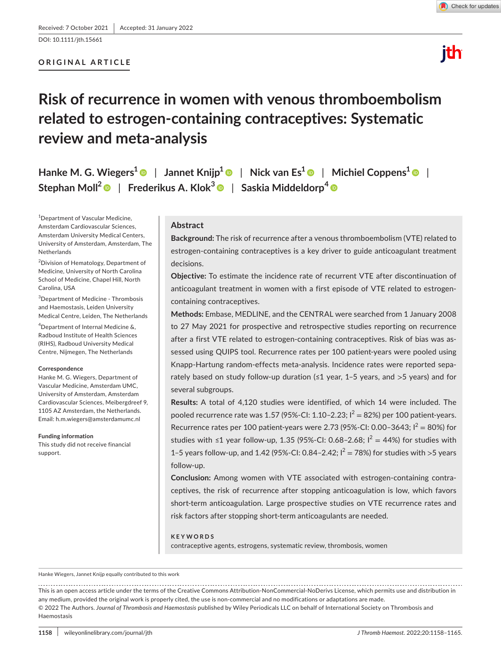DOI: 10.1111/jth.15661

## **ORIGINAL ARTICLE**



# ith

## **Risk of recurrence in women with venous thromboembolism related to estrogen-containing contraceptives: Systematic review and meta-analysis**

**Hanke M. G. Wiegers[1](https://orcid.org/0000-0003-0488-7529)** | **Jannet Knijp1** | **Nick van Es[1](https://orcid.org/0000-0001-5256-6346)** | **Michiel Coppens1** | **Stephan Moll[2](https://orcid.org/0000-0001-8573-7930)** | **Frederikus A. Klok<sup>3</sup>** | **Saskia Middeldorp<sup>4</sup>**

1 Department of Vascular Medicine, Amsterdam Cardiovascular Sciences, Amsterdam University Medical Centers, University of Amsterdam, Amsterdam, The Netherlands

<sup>2</sup>Division of Hematology, Department of Medicine, University of North Carolina School of Medicine, Chapel Hill, North Carolina, USA

3 Department of Medicine - Thrombosis and Haemostasis, Leiden University Medical Centre, Leiden, The Netherlands

4 Department of Internal Medicine &, Radboud Institute of Health Sciences (RIHS), Radboud University Medical Centre, Nijmegen, The Netherlands

#### **Correspondence**

Hanke M. G. Wiegers, Department of Vascular Medicine, Amsterdam UMC, University of Amsterdam, Amsterdam Cardiovascular Sciences, Meibergdreef 9, 1105 AZ Amsterdam, the Netherlands. Email: [h.m.wiegers@amsterdamumc.nl](mailto:h.m.wiegers@amsterdamumc.nl)

#### **Funding information**

This study did not receive financial support.

#### **Abstract**

**Background:** The risk of recurrence after a venous thromboembolism (VTE) related to estrogen-containing contraceptives is a key driver to guide anticoagulant treatment decisions.

**Objective:** To estimate the incidence rate of recurrent VTE after discontinuation of anticoagulant treatment in women with a first episode of VTE related to estrogencontaining contraceptives.

**Methods:** Embase, MEDLINE, and the CENTRAL were searched from 1 January 2008 to 27 May 2021 for prospective and retrospective studies reporting on recurrence after a first VTE related to estrogen-containing contraceptives. Risk of bias was assessed using QUIPS tool. Recurrence rates per 100 patient-years were pooled using Knapp-Hartung random-effects meta-analysis. Incidence rates were reported separately based on study follow-up duration (≤1 year, 1–5 years, and >5 years) and for several subgroups.

**Results:** A total of 4,120 studies were identified, of which 14 were included. The pooled recurrence rate was 1.57 (95%-CI: 1.10–2.23;  $I^2 = 82\%$ ) per 100 patient-years. Recurrence rates per 100 patient-years were 2.73 (95%-CI: 0.00–3643;  $I^2 = 80\%$ ) for studies with ≤1 year follow-up, 1.35 (95%-CI: 0.68-2.68;  $I^2 = 44\%$ ) for studies with 1–5 years follow-up, and 1.42 (95%-CI: 0.84–2.42;  $I^2 = 78$ %) for studies with >5 years follow-up.

**Conclusion:** Among women with VTE associated with estrogen-containing contraceptives, the risk of recurrence after stopping anticoagulation is low, which favors short-term anticoagulation. Large prospective studies on VTE recurrence rates and risk factors after stopping short-term anticoagulants are needed.

#### **KEYWORDS**

contraceptive agents, estrogens, systematic review, thrombosis, women

Hanke Wiegers, Jannet Knijp equally contributed to this work

This is an open access article under the terms of the [Creative Commons Attribution-NonCommercial-NoDerivs](http://creativecommons.org/licenses/by-nc-nd/4.0/) License, which permits use and distribution in any medium, provided the original work is properly cited, the use is non-commercial and no modifications or adaptations are made. © 2022 The Authors. *Journal of Thrombosis and Haemostasis* published by Wiley Periodicals LLC on behalf of International Society on Thrombosis and Haemostasis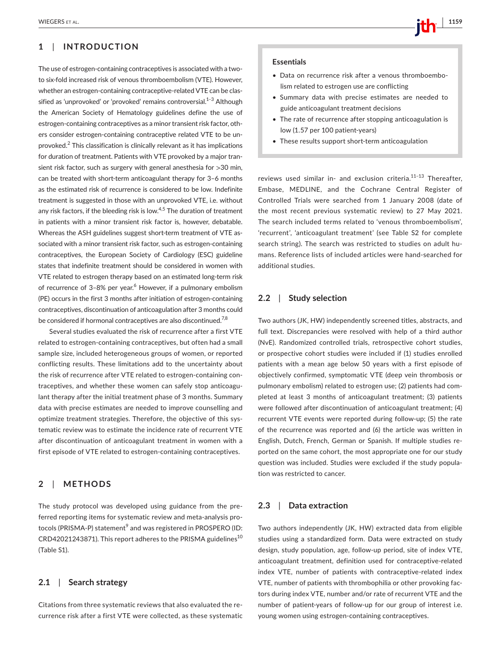## **1**  | **INTRODUCTION**

The use of estrogen-containing contraceptives is associated with a twoto six-fold increased risk of venous thromboembolism (VTE). However, whether an estrogen-containing contraceptive-related VTE can be classified as 'unprovoked' or 'provoked' remains controversial.<sup>1–3</sup> Although the American Society of Hematology guidelines define the use of estrogen-containing contraceptives as a minor transient risk factor, others consider estrogen-containing contraceptive related VTE to be unprovoked.<sup>2</sup> This classification is clinically relevant as it has implications for duration of treatment. Patients with VTE provoked by a major transient risk factor, such as surgery with general anesthesia for >30 min, can be treated with short-term anticoagulant therapy for 3–6 months as the estimated risk of recurrence is considered to be low. Indefinite treatment is suggested in those with an unprovoked VTE, i.e. without any risk factors, if the bleeding risk is low. $4.5$  The duration of treatment in patients with a minor transient risk factor is, however, debatable. Whereas the ASH guidelines suggest short-term treatment of VTE associated with a minor transient risk factor, such as estrogen-containing contraceptives, the European Society of Cardiology (ESC) guideline states that indefinite treatment should be considered in women with VTE related to estrogen therapy based on an estimated long-term risk of recurrence of 3-8% per year.<sup>6</sup> However, if a pulmonary embolism (PE) occurs in the first 3 months after initiation of estrogen-containing contraceptives, discontinuation of anticoagulation after 3 months could be considered if hormonal contraceptives are also discontinued.<sup>7,8</sup>

Several studies evaluated the risk of recurrence after a first VTE related to estrogen-containing contraceptives, but often had a small sample size, included heterogeneous groups of women, or reported conflicting results. These limitations add to the uncertainty about the risk of recurrence after VTE related to estrogen-containing contraceptives, and whether these women can safely stop anticoagulant therapy after the initial treatment phase of 3 months. Summary data with precise estimates are needed to improve counselling and optimize treatment strategies. Therefore, the objective of this systematic review was to estimate the incidence rate of recurrent VTE after discontinuation of anticoagulant treatment in women with a first episode of VTE related to estrogen-containing contraceptives.

### **2**  | **METHODS**

The study protocol was developed using guidance from the preferred reporting items for systematic review and meta-analysis protocols (PRISMA-P) statement<sup>9</sup> and was registered in PROSPERO (ID:  $CRD42021243871$ . This report adheres to the PRISMA guidelines<sup>10</sup> (Table S1).

#### **2.1**  | **Search strategy**

Citations from three systematic reviews that also evaluated the recurrence risk after a first VTE were collected, as these systematic

#### **Essentials**

- Data on recurrence risk after a venous thromboembolism related to estrogen use are conflicting
- Summary data with precise estimates are needed to guide anticoagulant treatment decisions
- The rate of recurrence after stopping anticoagulation is low (1.57 per 100 patient-years)
- These results support short-term anticoagulation

reviews used similar in- and exclusion criteria.<sup>11-13</sup> Thereafter. Embase, MEDLINE, and the Cochrane Central Register of Controlled Trials were searched from 1 January 2008 (date of the most recent previous systematic review) to 27 May 2021. The search included terms related to 'venous thromboembolism', 'recurrent', 'anticoagulant treatment' (see Table S2 for complete search string). The search was restricted to studies on adult humans. Reference lists of included articles were hand-searched for additional studies.

## **2.2**  | **Study selection**

Two authors (JK, HW) independently screened titles, abstracts, and full text. Discrepancies were resolved with help of a third author (NvE). Randomized controlled trials, retrospective cohort studies, or prospective cohort studies were included if (1) studies enrolled patients with a mean age below 50 years with a first episode of objectively confirmed, symptomatic VTE (deep vein thrombosis or pulmonary embolism) related to estrogen use; (2) patients had completed at least 3 months of anticoagulant treatment; (3) patients were followed after discontinuation of anticoagulant treatment; (4) recurrent VTE events were reported during follow-up; (5) the rate of the recurrence was reported and (6) the article was written in English, Dutch, French, German or Spanish. If multiple studies reported on the same cohort, the most appropriate one for our study question was included. Studies were excluded if the study population was restricted to cancer.

## **2.3**  | **Data extraction**

Two authors independently (JK, HW) extracted data from eligible studies using a standardized form. Data were extracted on study design, study population, age, follow-up period, site of index VTE, anticoagulant treatment, definition used for contraceptive-related index VTE, number of patients with contraceptive-related index VTE, number of patients with thrombophilia or other provoking factors during index VTE, number and/or rate of recurrent VTE and the number of patient-years of follow-up for our group of interest i.e. young women using estrogen-containing contraceptives.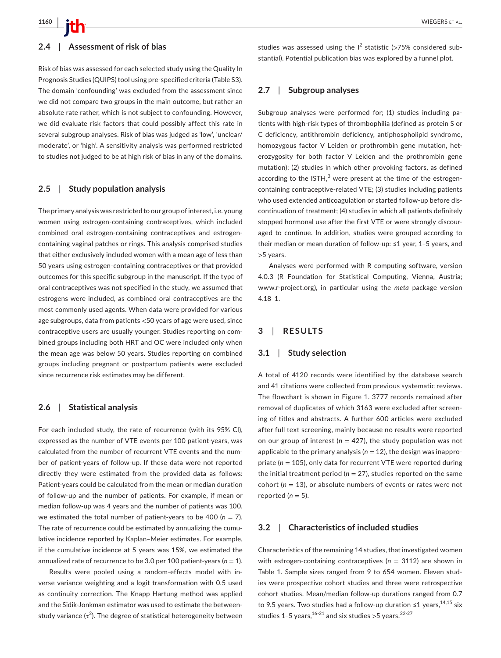#### **2.4**  | **Assessment of risk of bias**

Risk of bias was assessed for each selected study using the Quality In Prognosis Studies (QUIPS) tool using pre-specified criteria (Table S3). The domain 'confounding' was excluded from the assessment since we did not compare two groups in the main outcome, but rather an absolute rate rather, which is not subject to confounding. However, we did evaluate risk factors that could possibly affect this rate in several subgroup analyses. Risk of bias was judged as 'low', 'unclear/ moderate', or 'high'. A sensitivity analysis was performed restricted to studies not judged to be at high risk of bias in any of the domains.

#### **2.5**  | **Study population analysis**

The primary analysis was restricted to our group of interest, i.e. young women using estrogen-containing contraceptives, which included combined oral estrogen-containing contraceptives and estrogencontaining vaginal patches or rings. This analysis comprised studies that either exclusively included women with a mean age of less than 50 years using estrogen-containing contraceptives or that provided outcomes for this specific subgroup in the manuscript. If the type of oral contraceptives was not specified in the study, we assumed that estrogens were included, as combined oral contraceptives are the most commonly used agents. When data were provided for various age subgroups, data from patients <50 years of age were used, since contraceptive users are usually younger. Studies reporting on combined groups including both HRT and OC were included only when the mean age was below 50 years. Studies reporting on combined groups including pregnant or postpartum patients were excluded since recurrence risk estimates may be different.

## **2.6**  | **Statistical analysis**

For each included study, the rate of recurrence (with its 95% CI), expressed as the number of VTE events per 100 patient-years, was calculated from the number of recurrent VTE events and the number of patient-years of follow-up. If these data were not reported directly they were estimated from the provided data as follows: Patient-years could be calculated from the mean or median duration of follow-up and the number of patients. For example, if mean or median follow-up was 4 years and the number of patients was 100, we estimated the total number of patient-years to be 400 ( $n = 7$ ). The rate of recurrence could be estimated by annualizing the cumulative incidence reported by Kaplan–Meier estimates. For example, if the cumulative incidence at 5 years was 15%, we estimated the annualized rate of recurrence to be 3.0 per 100 patient-years ( $n = 1$ ).

Results were pooled using a random-effects model with inverse variance weighting and a logit transformation with 0.5 used as continuity correction. The Knapp Hartung method was applied and the Sidik-Jonkman estimator was used to estimate the betweenstudy variance ( $\tau^2$ ). The degree of statistical heterogeneity between studies was assessed using the  $I^2$  statistic (>75% considered substantial). Potential publication bias was explored by a funnel plot.

#### **2.7**  | **Subgroup analyses**

Subgroup analyses were performed for; (1) studies including patients with high-risk types of thrombophilia (defined as protein S or C deficiency, antithrombin deficiency, antiphospholipid syndrome, homozygous factor V Leiden or prothrombin gene mutation, heterozygosity for both factor V Leiden and the prothrombin gene mutation); (2) studies in which other provoking factors, as defined according to the ISTH, $^3$  were present at the time of the estrogencontaining contraceptive-related VTE; (3) studies including patients who used extended anticoagulation or started follow-up before discontinuation of treatment; (4) studies in which all patients definitely stopped hormonal use after the first VTE or were strongly discouraged to continue. In addition, studies were grouped according to their median or mean duration of follow-up: ≤1 year, 1–5 years, and >5 years.

Analyses were performed with R computing software, version 4.0.3 (R Foundation for Statistical Computing, Vienna, Austria; [www.r-project.org](http://www.r-project.org)), in particular using the *meta* package version 4.18–1.

#### **3**  | **RESULTS**

#### **3.1**  | **Study selection**

A total of 4120 records were identified by the database search and 41 citations were collected from previous systematic reviews. The flowchart is shown in Figure 1. 3777 records remained after removal of duplicates of which 3163 were excluded after screening of titles and abstracts. A further 600 articles were excluded after full text screening, mainly because no results were reported on our group of interest ( $n = 427$ ), the study population was not applicable to the primary analysis ( $n = 12$ ), the design was inappropriate (*n* = 105), only data for recurrent VTE were reported during the initial treatment period ( $n = 27$ ), studies reported on the same cohort (*n* = 13), or absolute numbers of events or rates were not reported  $(n = 5)$ .

#### **3.2**  | **Characteristics of included studies**

Characteristics of the remaining 14 studies, that investigated women with estrogen-containing contraceptives ( $n = 3112$ ) are shown in Table 1. Sample sizes ranged from 9 to 654 women. Eleven studies were prospective cohort studies and three were retrospective cohort studies. Mean/median follow-up durations ranged from 0.7 to 9.5 years. Two studies had a follow-up duration ≤1 years,  $14,15$  six studies 1-5 years,  $16-21$  and six studies > 5 years.  $22-27$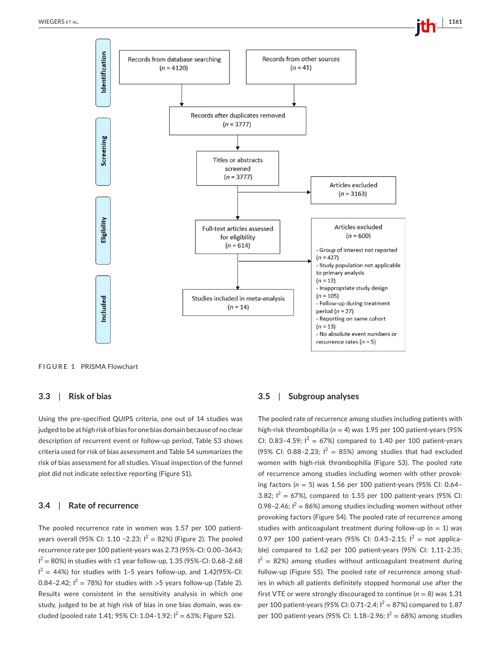



**FIGURE 1** PRISMA Flowchart

#### **3.3**  | **Risk of bias**

Using the pre-specified QUIPS criteria, one out of 14 studies was judged to be at high risk of bias for one bias domain because of no clear description of recurrent event or follow-up period, Table S3 shows criteria used for risk of bias assessment and Table S4 summarizes the risk of bias assessment for all studies. Visual inspection of the funnel plot did not indicate selective reporting (Figure S1).

## **3.4**  | **Rate of recurrence**

The pooled recurrence rate in women was 1.57 per 100 patientyears overall (95% CI: 1.10 -2.23;  $I^2 = 82%$ ) (Figure 2). The pooled recurrence rate per 100 patient-years was 2.73 (95%-CI: 0.00–3643;  $1^2 = 80\%$ ) in studies with ≤1 year follow-up, 1.35 (95%-CI: 0.68–2.68  $I^2 = 44\%)$  for studies with 1-5 years follow-up, and 1.42(95%-CI: 0.84–2.42;  $I^2 = 78\%$ ) for studies with >5 years follow-up (Table 2). Results were consistent in the sensitivity analysis in which one study, judged to be at high risk of bias in one bias domain, was excluded (pooled rate 1.41; 95% CI: 1.04-1.92;  $I^2 = 63$ %; Figure S2).

#### **3.5**  | **Subgroup analyses**

The pooled rate of recurrence among studies including patients with high-risk thrombophilia (*n* = 4) was 1.95 per 100 patient-years (95% CI: 0.83-4.59;  $I^2 = 67\%$ ) compared to 1.40 per 100 patient-years (95% CI: 0.88-2.23;  $I^2 = 85%$ ) among studies that had excluded women with high-risk thrombophilia (Figure S3). The pooled rate of recurrence among studies including women with other provoking factors (*n* = 5) was 1.56 per 100 patient-years (95% CI: 0.64– 3.82;  $I^2 = 67\%$ ), compared to 1.55 per 100 patient-years (95% CI: 0.98–2.46;  $I^2 = 86\%$ ) among studies including women without other provoking factors (Figure S4). The pooled rate of recurrence among studies with anticoagulant treatment during follow-up (*n* = 1) was 0.97 per 100 patient-years (95% CI: 0.43-2.15;  $I^2$  = not applicable) compared to 1.62 per 100 patient-years (95% CI: 1.11–2.35;  $I^2 = 82\%$ ) among studies without anticoagulant treatment during follow-up (Figure S5). The pooled rate of recurrence among studies in which all patients definitely stopped hormonal use after the first VTE or were strongly discouraged to continue ( $n = 8$ ) was 1.31 per 100 patient-years (95% CI: 0.71–2.4;  $I^2 = 87$ %) compared to 1.87 per 100 patient-years (95% CI: 1.18-2.96;  $I^2 = 68$ %) among studies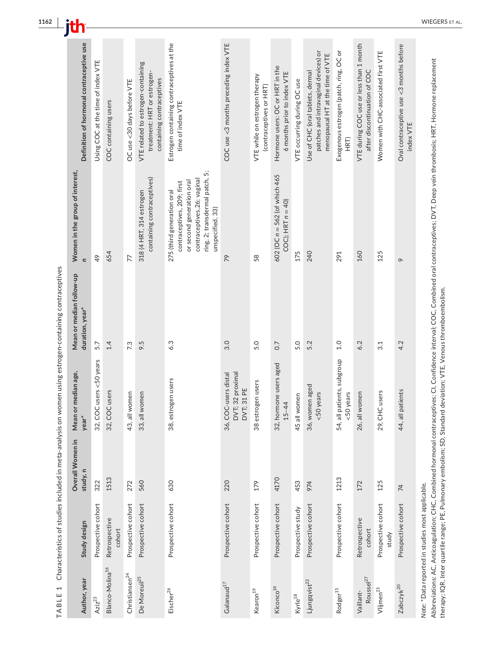| Definition of hormonal contraceptive use                    | Using COC at the time of index VTE | COC containing users        | OC use <30 days before VTE | VTE related to estrogen-containing<br>treatment: HRT or estrogen-<br>containing contraceptives | Estrogen containing contraceptives at the<br>time of index VTE                                                                                                             | COC use <3 months preceding index VTE                  | VTE while on estrogen therapy<br>(contraceptives or HRT) | Hormone users: OC or HRT in the<br>6 months prior to index VTE | VTE occurring during OC use | patches and intravaginal devices) or<br>menopausal HT at the time of VTE<br>Use of CHC (oral tablets, dermal | Exogenous estrogen (patch, ring, OC or<br>HRT) | VTE during COC use or less than 1 month<br>after discontinuation of COC | Women with CHC-associated first VTE | Oral contraceptive use <3 months before<br>index VTE |
|-------------------------------------------------------------|------------------------------------|-----------------------------|----------------------------|------------------------------------------------------------------------------------------------|----------------------------------------------------------------------------------------------------------------------------------------------------------------------------|--------------------------------------------------------|----------------------------------------------------------|----------------------------------------------------------------|-----------------------------|--------------------------------------------------------------------------------------------------------------|------------------------------------------------|-------------------------------------------------------------------------|-------------------------------------|------------------------------------------------------|
| Women in the group of interest,<br>$\overline{\phantom{a}}$ | 49                                 | 654                         | 77                         | containing contraceptives)<br>318 (4 HRT, 314 estrogen                                         | ring, 2; transdermal patch, 5;<br>contraceptives, 26; vaginal<br>or second generation oral<br>contraceptives, 209; first<br>275 (third generation oral<br>unspecified, 33) | 79                                                     | 58                                                       | 602 ( $OC n = 562$ (of which 465<br>COC); $HRT n = 40$         | 175                         | 240                                                                                                          | 291                                            | 160                                                                     | 125                                 | $\sim$                                               |
| Mean or median follow-up<br>duration, year <sup>*</sup>     | 5.7                                | 1.4                         | 7.3                        | 9.5                                                                                            | 6.3                                                                                                                                                                        | 3.0                                                    | 5.0                                                      | 0.7                                                            | 5.0                         | 5.2                                                                                                          | 1.0                                            | 6.2                                                                     | 3.1                                 | 4.2                                                  |
| or median age,<br>Mean<br>year <sup>*</sup>                 | 32, COC users <50 years            | 32, COC users               | women<br>43, all           | women<br>33, all                                                                               | 38, estrogen users                                                                                                                                                         | DVT; 32 proximal<br>36, COC-users distal<br>DVT; 31 PE | 38 estrogen users                                        | 32, hormone users aged<br>$-44$<br>15                          | 45 all women                | 36, women aged<br><50 years                                                                                  | patients, subgroup<br><50 years<br>54, all     | I women<br>26, all                                                      | 29, CHC users                       | patients<br>44, all                                  |
| Overall Women in<br>study, n                                | 322                                | 1513                        | 272                        | 560                                                                                            | 630                                                                                                                                                                        | 220                                                    | 179                                                      | 4170                                                           | 453                         | 974                                                                                                          | 1213                                           | 172                                                                     | 125                                 | $\overline{74}$                                      |
| Study design                                                | Prospective cohort                 | Retrospective<br>cohort     | Prospective cohort         | Prospective cohort                                                                             | Prospective cohort                                                                                                                                                         | Prospective cohort                                     | Prospective cohort                                       | Prospective cohort                                             | Prospective study           | Prospective cohort                                                                                           | Prospective cohort                             | Retrospective<br>cohort                                                 | Prospective cohort<br>study         | Prospective cohort                                   |
| Author, year                                                | $Aziz^{23}$                        | Blanco-Molina <sup>16</sup> | Christiansen $^{24}$       | De Moreuil <sup>25</sup>                                                                       | Eischer <sup>26</sup>                                                                                                                                                      | $\mathsf{Gal}$ anaud $^{17}$                           | Kearon <sup>19</sup>                                     | Kiconco <sup>14</sup>                                          | Kyrle <sup>18</sup>         | Ljungqvist <sup>22</sup>                                                                                     | Rodger <sup>15</sup>                           | Roussel <sup>27</sup><br>Vaillant-                                      | $V$ lijmen <sup>21</sup>            | Zabczyk <sup>20</sup>                                |

TABLE 1 Characteristics of studies included in meta-analysis on women using estrogen-containing contraceptives **TABLE 1** Characteristics of studies included in meta-analysis on women using estrogen-containing contraceptives

Note: \*Data reported in studies most applicable. *Note:* \*Data reported in studies most applicable.

Abbreviations: AC, Anticoagulation; CHC, Combined hormonal contraceptives; CI, Confidence interval; COC, Combined oral contraceptives; DVT, Deep vein thrombosis; HRT, Hormone replacement<br>therapy; IQR, Inter quartile range; Abbreviations: AC, Anticoagulation; CHC, Combined hormonal contraceptives; CI, Confidence interval; COC, Combined oral contraceptives; DVT, Deep vein thrombosis; HRT, Hormone replacement therapy; IQR, Inter quartile range; PE, Pulmonary embolism; SD, Standard deviation; VTE, Venous thromboembolism.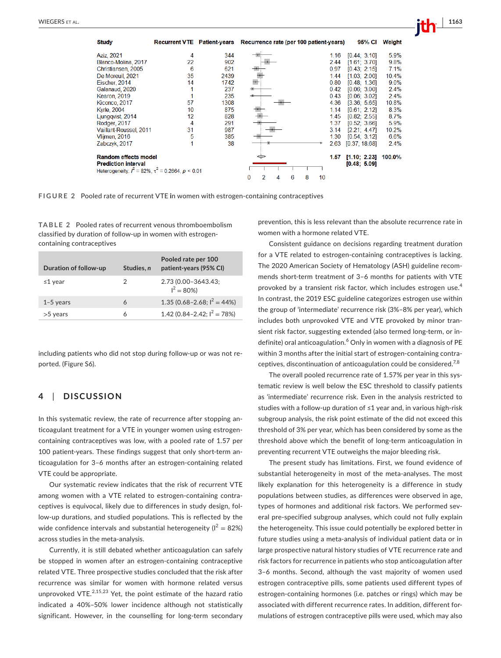**Study** Recurrent VTE Patient-years Recurrence rate (per 100 patient-years) 95% CI Weight Aziz, 2021  $[0.44; 3.10]$ 5.9% 344 1.16 Blanco-Molina, 2017  $22$ 902 244  $[1.61; 3.70]$ 9.8%  $2.15$ Christiansen, 2005  $\overline{6}$ 621 0.97  $[0.43]$  $7.1%$ 35 2439 De Moreuil 2021  $144$  $11.03 \div 2.001$ 10.4% Eischer, 2014 14 1742 0.80  $I(0.48)$ 1.361  $90%$ Galanaud, 2020  $\overline{1}$ 237  $0.42$  $[0.06]$ 3.001  $2.4%$ Kearon, 2019 235 0.43  $[0.06]$  $3.02]$  $24%$ Kiconco, 2017 57 1308 4.36  $[3.36]$  $5.65$ 10.8% **Kyrle, 2004**  $10$ 875 1.14  $[0.61]$  $2.121$ 8.3% Ljungqvist, 2014  $12$ 828 1.45  $10.82<sup>5</sup>$ 2.551 8 7%  $\overline{4}$ 291 1.37  $366$ 59% Rodger, 2017  $10.52$ Vaillant-Roussel, 2011  $31$ 987  $3.14$  $[2.21]$ 10.2% 4.47 385 1.30  $[0.54; 3.12]$ 5 6.6% Vliimen, 2016 Zabczyk, 2017 1 38 2.63  $[0.37:18.68]$  $24%$ Random effects model 1.57  $[1.10; 2.23]$ 100.0% **Prediction interval**  $[0.48; 5.09]$ Heterogeneity:  $l^2 = 82\%$ ,  $\tau^2 = 0.2664$ ,  $p \le 0.01$  $\boldsymbol{6}$ 8  $10$  $\theta$ 2 4

**FIGURE 2** Pooled rate of recurrent VTE **i**n women with estrogen-containing contraceptives

**TABLE 2** Pooled rates of recurrent venous thromboembolism classified by duration of follow-up in women with estrogencontaining contraceptives

| Duration of follow-up | Studies, n | Pooled rate per 100<br>patient-years (95% CI) |  |  |  |  |  |
|-----------------------|------------|-----------------------------------------------|--|--|--|--|--|
| $\leq$ 1 year         | 2          | 2.73 (0.00-3643.43;<br>$I^2 = 80\%)$          |  |  |  |  |  |
| $1-5$ years           | 6          | 1.35 (0.68–2.68; $I^2 = 44\%$ )               |  |  |  |  |  |
| $>5$ years            | 6          | 1.42 (0.84–2.42; $I^2 = 78\%)$                |  |  |  |  |  |

including patients who did not stop during follow-up or was not reported. (Figure S6).

## **4**  | **DISCUSSION**

In this systematic review, the rate of recurrence after stopping anticoagulant treatment for a VTE in younger women using estrogencontaining contraceptives was low, with a pooled rate of 1.57 per 100 patient-years. These findings suggest that only short-term anticoagulation for 3–6 months after an estrogen-containing related VTE could be appropriate.

Our systematic review indicates that the risk of recurrent VTE among women with a VTE related to estrogen-containing contraceptives is equivocal, likely due to differences in study design, follow-up durations, and studied populations. This is reflected by the wide confidence intervals and substantial heterogeneity ( $I^2 = 82\%$ ) across studies in the meta-analysis.

Currently, it is still debated whether anticoagulation can safely be stopped in women after an estrogen-containing contraceptive related VTE. Three prospective studies concluded that the risk after recurrence was similar for women with hormone related versus unprovoked VTE. $2,15,23$  Yet, the point estimate of the hazard ratio indicated a 40%–50% lower incidence although not statistically significant. However, in the counselling for long-term secondary

prevention, this is less relevant than the absolute recurrence rate in women with a hormone related VTE.

Consistent guidance on decisions regarding treatment duration for a VTE related to estrogen-containing contraceptives is lacking. The 2020 American Society of Hematology (ASH) guideline recommends short-term treatment of 3–6 months for patients with VTE provoked by a transient risk factor, which includes estrogen use.<sup>4</sup> In contrast, the 2019 ESC guideline categorizes estrogen use within the group of 'intermediate' recurrence risk (3%–8% per year), which includes both unprovoked VTE and VTE provoked by minor transient risk factor, suggesting extended (also termed long-term, or indefinite) oral anticoagulation.<sup>6</sup> Only in women with a diagnosis of PE within 3 months after the initial start of estrogen-containing contraceptives, discontinuation of anticoagulation could be considered.<sup>7,8</sup>

The overall pooled recurrence rate of 1.57% per year in this systematic review is well below the ESC threshold to classify patients as 'intermediate' recurrence risk. Even in the analysis restricted to studies with a follow-up duration of ≤1 year and, in various high-risk subgroup analysis, the risk point estimate of the did not exceed this threshold of 3% per year, which has been considered by some as the threshold above which the benefit of long-term anticoagulation in preventing recurrent VTE outweighs the major bleeding risk.

The present study has limitations. First, we found evidence of substantial heterogeneity in most of the meta-analyses. The most likely explanation for this heterogeneity is a difference in study populations between studies, as differences were observed in age, types of hormones and additional risk factors. We performed several pre-specified subgroup analyses, which could not fully explain the heterogeneity. This issue could potentially be explored better in future studies using a meta-analysis of individual patient data or in large prospective natural history studies of VTE recurrence rate and risk factors for recurrence in patients who stop anticoagulation after 3–6 months. Second, although the vast majority of women used estrogen contraceptive pills, some patients used different types of estrogen-containing hormones (i.e. patches or rings) which may be associated with different recurrence rates. In addition, different formulations of estrogen contraceptive pills were used, which may also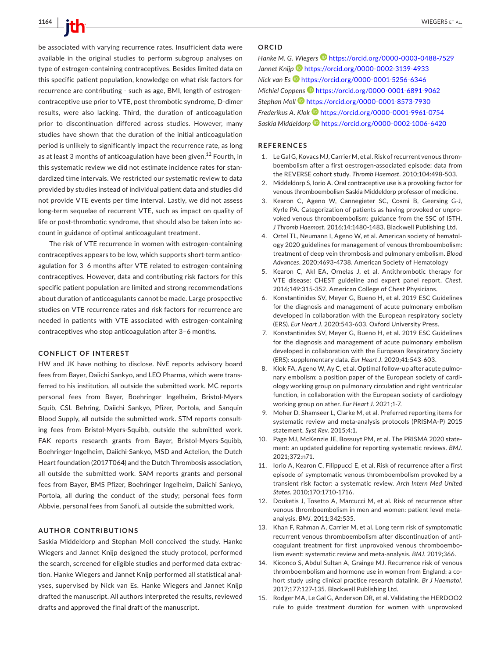be associated with varying recurrence rates. Insufficient data were available in the original studies to perform subgroup analyses on type of estrogen-containing contraceptives. Besides limited data on this specific patient population, knowledge on what risk factors for recurrence are contributing - such as age, BMI, length of estrogencontraceptive use prior to VTE, post thrombotic syndrome, D-dimer results, were also lacking. Third, the duration of anticoagulation prior to discontinuation differed across studies. However, many studies have shown that the duration of the initial anticoagulation period is unlikely to significantly impact the recurrence rate, as long as at least 3 months of anticoagulation have been given.<sup>12</sup> Fourth, in this systematic review we did not estimate incidence rates for standardized time intervals. We restricted our systematic review to data provided by studies instead of individual patient data and studies did not provide VTE events per time interval. Lastly, we did not assess long-term sequelae of recurrent VTE, such as impact on quality of life or post-thrombotic syndrome, that should also be taken into account in guidance of optimal anticoagulant treatment.

The risk of VTE recurrence in women with estrogen-containing contraceptives appears to be low, which supports short-term anticoagulation for 3–6 months after VTE related to estrogen-containing contraceptives. However, data and contributing risk factors for this specific patient population are limited and strong recommendations about duration of anticoagulants cannot be made. Large prospective studies on VTE recurrence rates and risk factors for recurrence are needed in patients with VTE associated with estrogen-containing contraceptives who stop anticoagulation after 3–6 months.

#### **CONFLICT OF INTEREST**

HW and JK have nothing to disclose. NvE reports advisory board fees from Bayer, Daiichi Sankyo, and LEO Pharma, which were transferred to his institution, all outside the submitted work. MC reports personal fees from Bayer, Boehringer Ingelheim, Bristol-Myers Squib, CSL Behring, Daiichi Sankyo, Pfizer, Portola, and Sanquin Blood Supply, all outside the submitted work. STM reports consulting fees from Bristol-Myers-Squibb, outside the submitted work. FAK reports research grants from Bayer, Bristol-Myers-Squibb, Boehringer-Ingelheim, Daiichi-Sankyo, MSD and Actelion, the Dutch Heart foundation (2017T064) and the Dutch Thrombosis association, all outside the submitted work. SAM reports grants and personal fees from Bayer, BMS Pfizer, Boehringer Ingelheim, Daiichi Sankyo, Portola, all during the conduct of the study; personal fees form Abbvie, personal fees from Sanofi, all outside the submitted work.

#### **AUTHOR CONTRIBUTIONS**

Saskia Middeldorp and Stephan Moll conceived the study. Hanke Wiegers and Jannet Knijp designed the study protocol, performed the search, screened for eligible studies and performed data extraction. Hanke Wiegers and Jannet Knijp performed all statistical analyses, supervised by Nick van Es. Hanke Wiegers and Jannet Knijp drafted the manuscript. All authors interpreted the results, reviewed drafts and approved the final draft of the manuscript.

#### **ORCID**

Hanke M. G. Wiegers<sup>1</sup> <https://orcid.org/0000-0003-0488-7529> *Jannet Knij[p](https://orcid.org/0000-0002-3139-4933)* <https://orcid.org/0000-0002-3139-4933> *Nick van Es* <https://orcid.org/0000-0001-5256-6346> *Michiel Coppens* <https://orcid.org/0000-0001-6891-9062> *Stephan Moll* <https://orcid.org/0000-0001-8573-7930> *Frederikus A. Klo[k](https://orcid.org/0000-0001-9961-0754)* <https://orcid.org/0000-0001-9961-0754> *Saskia Middeldorp* <https://orcid.org/0000-0002-1006-6420>

#### **REFERENCES**

- 1. Le Gal G, Kovacs MJ, Carrier M, et al. Risk of recurrent venous thromboembolism after a first oestrogen-associated episode: data from the REVERSE cohort study. *Thromb Haemost*. 2010;104:498-503.
- 2. Middeldorp S, Iorio A. Oral contraceptive use is a provoking factor for venous thromboembolism Saskia Middeldorp professor of medicine.
- 3. Kearon C, Ageno W, Cannegieter SC, Cosmi B, Geersing G-J, Kyrle PA. Categorization of patients as having provoked or unprovoked venous thromboembolism: guidance from the SSC of ISTH. *J Thromb Haemost*. 2016;14:1480-1483. Blackwell Publishing Ltd.
- 4. Ortel TL, Neumann I, Ageno W, et al. American society of hematology 2020 guidelines for management of venous thromboembolism: treatment of deep vein thrombosis and pulmonary embolism. *Blood Advances*. 2020;4693-4738. American Society of Hematology
- 5. Kearon C, Akl EA, Ornelas J, et al. Antithrombotic therapy for VTE disease: CHEST guideline and expert panel report. *Chest*. 2016;149:315-352. American College of Chest Physicians.
- 6. Konstantinides SV, Meyer G, Bueno H, et al. 2019 ESC Guidelines for the diagnosis and management of acute pulmonary embolism developed in collaboration with the European respiratory society (ERS). *Eur Heart J*. 2020:543-603. Oxford University Press.
- 7. Konstantinides SV, Meyer G, Bueno H, et al. 2019 ESC Guidelines for the diagnosis and management of acute pulmonary embolism developed in collaboration with the European Respiratory Society (ERS): supplementary data. *Eur Heart J*. 2020;41:543-603.
- 8. Klok FA, Ageno W, Ay C, et al. Optimal follow-up after acute pulmonary embolism: a position paper of the European society of cardiology working group on pulmonary circulation and right ventricular function, in collaboration with the European society of cardiology working group on ather. *Eur Heart J*. 2021;1-7.
- 9. Moher D, Shamseer L, Clarke M, et al. Preferred reporting items for systematic review and meta-analysis protocols (PRISMA-P) 2015 statement. *Syst Rev*. 2015;4:1.
- 10. Page MJ, McKenzie JE, Bossuyt PM, et al. The PRISMA 2020 statement: an updated guideline for reporting systematic reviews. *BMJ*. 2021;372:n71.
- 11. Iorio A, Kearon C, Filippucci E, et al. Risk of recurrence after a first episode of symptomatic venous thromboembolism provoked by a transient risk factor: a systematic review. *Arch Intern Med United States*. 2010;170:1710-1716.
- 12. Douketis J, Tosetto A, Marcucci M, et al. Risk of recurrence after venous thromboembolism in men and women: patient level metaanalysis. *BMJ*. 2011;342:535.
- 13. Khan F, Rahman A, Carrier M, et al. Long term risk of symptomatic recurrent venous thromboembolism after discontinuation of anticoagulant treatment for first unprovoked venous thromboembolism event: systematic review and meta-analysis. *BMJ*. 2019;366.
- 14. Kiconco S, Abdul Sultan A, Grainge MJ. Recurrence risk of venous thromboembolism and hormone use in women from England: a cohort study using clinical practice research datalink. *Br J Haematol*. 2017;177:127-135. Blackwell Publishing Ltd.
- 15. Rodger MA, Le Gal G, Anderson DR, et al. Validating the HERDOO2 rule to guide treatment duration for women with unprovoked